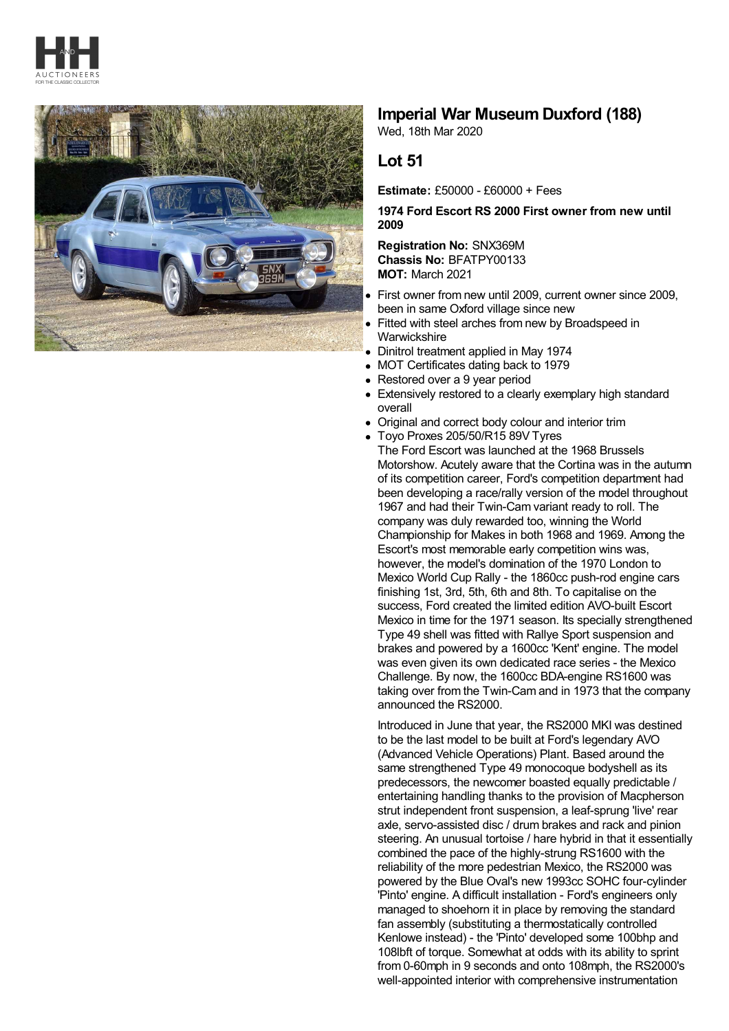



## **Imperial War Museum Duxford (188)**

Wed, 18th Mar 2020

## **Lot 51**

**Estimate:** £50000 - £60000 + Fees

**1974 Ford Escort RS 2000 First owner from new until 2009**

**Registration No:** SNX369M **Chassis No:** BFATPY00133 **MOT:** March 2021

- First owner from new until 2009, current owner since 2009, been in same Oxford village since new
- Fitted with steel arches from new by Broadspeed in **Warwickshire**
- Dinitrol treatment applied in May 1974
- MOT Certificates dating back to 1979
- Restored over a 9 year period
- Extensively restored to a clearly exemplary high standard overall
- Original and correct body colour and interior trim
- Toyo Proxes 205/50/R15 89V Tyres

The Ford Escort was launched at the 1968 Brussels Motorshow. Acutely aware that the Cortina was in the autumn of its competition career, Ford's competition department had been developing a race/rally version of the model throughout 1967 and had their Twin-Cam variant ready to roll. The company was duly rewarded too, winning the World Championship for Makes in both 1968 and 1969. Among the Escort's most memorable early competition wins was, however, the model's domination of the 1970 London to Mexico World Cup Rally - the 1860cc push-rod engine cars finishing 1st, 3rd, 5th, 6th and 8th. To capitalise on the success, Ford created the limited edition AVO-built Escort Mexico in time for the 1971 season. Its specially strengthened Type 49 shell was fitted with Rallye Sport suspension and brakes and powered by a 1600cc 'Kent' engine. The model was even given its own dedicated race series - the Mexico Challenge. By now, the 1600cc BDA-engine RS1600 was taking over from the Twin-Cam and in 1973 that the company announced the RS2000.

Introduced in June that year, the RS2000 MKI was destined to be the last model to be built at Ford's legendary AVO (Advanced Vehicle Operations) Plant. Based around the same strengthened Type 49 monocoque bodyshell as its predecessors, the newcomer boasted equally predictable / entertaining handling thanks to the provision of Macpherson strut independent front suspension, a leaf-sprung 'live' rear axle, servo-assisted disc / drum brakes and rack and pinion steering. An unusual tortoise / hare hybrid in that it essentially combined the pace of the highly-strung RS1600 with the reliability of the more pedestrian Mexico, the RS2000 was powered by the Blue Oval's new 1993cc SOHC four-cylinder 'Pinto' engine. A difficult installation - Ford's engineers only managed to shoehorn it in place by removing the standard fan assembly (substituting a thermostatically controlled Kenlowe instead) - the 'Pinto' developed some 100bhp and 108lbft of torque. Somewhat at odds with its ability to sprint from 0-60mph in 9 seconds and onto 108mph, the RS2000's well-appointed interior with comprehensive instrumentation